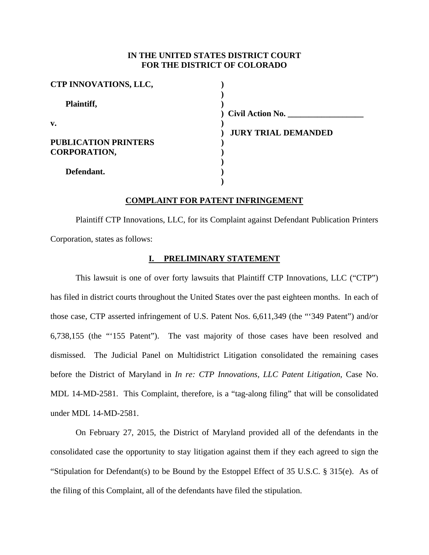## **IN THE UNITED STATES DISTRICT COURT FOR THE DISTRICT OF COLORADO**

| <b>CTP INNOVATIONS, LLC,</b> |                            |
|------------------------------|----------------------------|
| Plaintiff,                   |                            |
|                              | ) Civil Action No.         |
| v.                           |                            |
|                              | <b>JURY TRIAL DEMANDED</b> |
| <b>PUBLICATION PRINTERS</b>  |                            |
| <b>CORPORATION,</b>          |                            |
|                              |                            |
| Defendant.                   |                            |
|                              |                            |

### **COMPLAINT FOR PATENT INFRINGEMENT**

Plaintiff CTP Innovations, LLC, for its Complaint against Defendant Publication Printers Corporation, states as follows:

### **I. PRELIMINARY STATEMENT**

This lawsuit is one of over forty lawsuits that Plaintiff CTP Innovations, LLC ("CTP") has filed in district courts throughout the United States over the past eighteen months. In each of those case, CTP asserted infringement of U.S. Patent Nos. 6,611,349 (the "'349 Patent") and/or 6,738,155 (the "'155 Patent"). The vast majority of those cases have been resolved and dismissed. The Judicial Panel on Multidistrict Litigation consolidated the remaining cases before the District of Maryland in *In re: CTP Innovations, LLC Patent Litigation*, Case No. MDL 14-MD-2581. This Complaint, therefore, is a "tag-along filing" that will be consolidated under MDL 14-MD-2581.

On February 27, 2015, the District of Maryland provided all of the defendants in the consolidated case the opportunity to stay litigation against them if they each agreed to sign the "Stipulation for Defendant(s) to be Bound by the Estoppel Effect of 35 U.S.C. § 315(e). As of the filing of this Complaint, all of the defendants have filed the stipulation.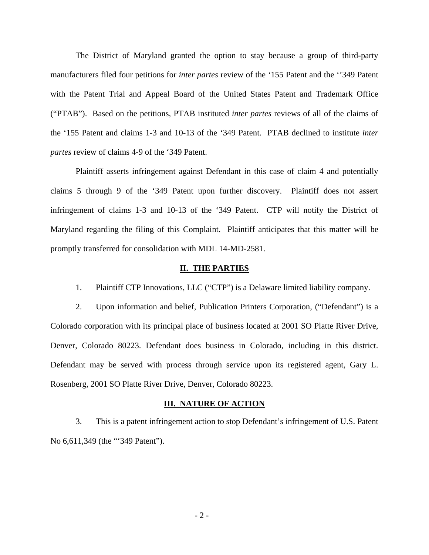The District of Maryland granted the option to stay because a group of third-party manufacturers filed four petitions for *inter partes* review of the '155 Patent and the ''349 Patent with the Patent Trial and Appeal Board of the United States Patent and Trademark Office ("PTAB"). Based on the petitions, PTAB instituted *inter partes* reviews of all of the claims of the '155 Patent and claims 1-3 and 10-13 of the '349 Patent. PTAB declined to institute *inter partes* review of claims 4-9 of the '349 Patent.

Plaintiff asserts infringement against Defendant in this case of claim 4 and potentially claims 5 through 9 of the '349 Patent upon further discovery. Plaintiff does not assert infringement of claims 1-3 and 10-13 of the '349 Patent. CTP will notify the District of Maryland regarding the filing of this Complaint. Plaintiff anticipates that this matter will be promptly transferred for consolidation with MDL 14-MD-2581.

#### **II. THE PARTIES**

1. Plaintiff CTP Innovations, LLC ("CTP") is a Delaware limited liability company.

2. Upon information and belief, Publication Printers Corporation, ("Defendant") is a Colorado corporation with its principal place of business located at 2001 SO Platte River Drive, Denver, Colorado 80223. Defendant does business in Colorado, including in this district. Defendant may be served with process through service upon its registered agent, Gary L. Rosenberg, 2001 SO Platte River Drive, Denver, Colorado 80223.

#### **III. NATURE OF ACTION**

3. This is a patent infringement action to stop Defendant's infringement of U.S. Patent No 6,611,349 (the "'349 Patent").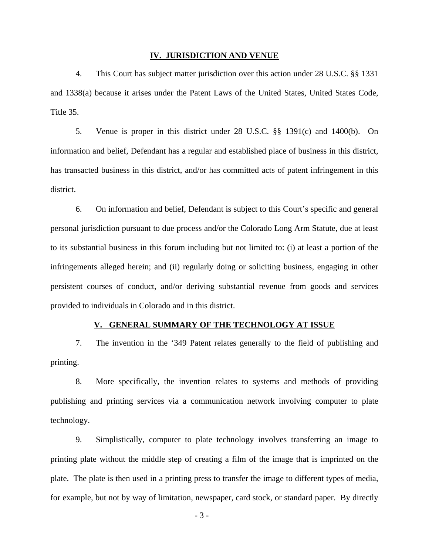#### **IV. JURISDICTION AND VENUE**

4. This Court has subject matter jurisdiction over this action under 28 U.S.C. §§ 1331 and 1338(a) because it arises under the Patent Laws of the United States, United States Code, Title 35.

5. Venue is proper in this district under 28 U.S.C. §§ 1391(c) and 1400(b). On information and belief, Defendant has a regular and established place of business in this district, has transacted business in this district, and/or has committed acts of patent infringement in this district.

6. On information and belief, Defendant is subject to this Court's specific and general personal jurisdiction pursuant to due process and/or the Colorado Long Arm Statute, due at least to its substantial business in this forum including but not limited to: (i) at least a portion of the infringements alleged herein; and (ii) regularly doing or soliciting business, engaging in other persistent courses of conduct, and/or deriving substantial revenue from goods and services provided to individuals in Colorado and in this district.

## **V. GENERAL SUMMARY OF THE TECHNOLOGY AT ISSUE**

7. The invention in the '349 Patent relates generally to the field of publishing and printing.

8. More specifically, the invention relates to systems and methods of providing publishing and printing services via a communication network involving computer to plate technology.

9. Simplistically, computer to plate technology involves transferring an image to printing plate without the middle step of creating a film of the image that is imprinted on the plate. The plate is then used in a printing press to transfer the image to different types of media, for example, but not by way of limitation, newspaper, card stock, or standard paper. By directly

- 3 -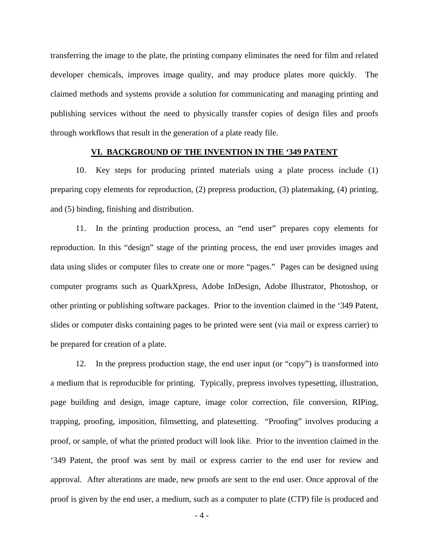transferring the image to the plate, the printing company eliminates the need for film and related developer chemicals, improves image quality, and may produce plates more quickly. The claimed methods and systems provide a solution for communicating and managing printing and publishing services without the need to physically transfer copies of design files and proofs through workflows that result in the generation of a plate ready file.

## **VI. BACKGROUND OF THE INVENTION IN THE '349 PATENT**

10. Key steps for producing printed materials using a plate process include (1) preparing copy elements for reproduction, (2) prepress production, (3) platemaking, (4) printing, and (5) binding, finishing and distribution.

11. In the printing production process, an "end user" prepares copy elements for reproduction. In this "design" stage of the printing process, the end user provides images and data using slides or computer files to create one or more "pages." Pages can be designed using computer programs such as QuarkXpress, Adobe InDesign, Adobe Illustrator, Photoshop, or other printing or publishing software packages. Prior to the invention claimed in the '349 Patent, slides or computer disks containing pages to be printed were sent (via mail or express carrier) to be prepared for creation of a plate.

12. In the prepress production stage, the end user input (or "copy") is transformed into a medium that is reproducible for printing. Typically, prepress involves typesetting, illustration, page building and design, image capture, image color correction, file conversion, RIPing, trapping, proofing, imposition, filmsetting, and platesetting. "Proofing" involves producing a proof, or sample, of what the printed product will look like. Prior to the invention claimed in the '349 Patent, the proof was sent by mail or express carrier to the end user for review and approval. After alterations are made, new proofs are sent to the end user. Once approval of the proof is given by the end user, a medium, such as a computer to plate (CTP) file is produced and

 $-4-$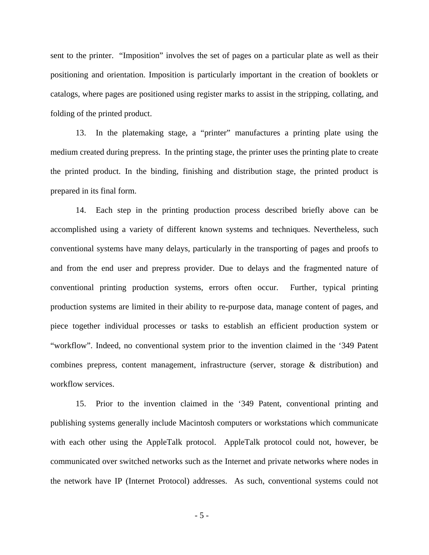sent to the printer. "Imposition" involves the set of pages on a particular plate as well as their positioning and orientation. Imposition is particularly important in the creation of booklets or catalogs, where pages are positioned using register marks to assist in the stripping, collating, and folding of the printed product.

13. In the platemaking stage, a "printer" manufactures a printing plate using the medium created during prepress. In the printing stage, the printer uses the printing plate to create the printed product. In the binding, finishing and distribution stage, the printed product is prepared in its final form.

14. Each step in the printing production process described briefly above can be accomplished using a variety of different known systems and techniques. Nevertheless, such conventional systems have many delays, particularly in the transporting of pages and proofs to and from the end user and prepress provider. Due to delays and the fragmented nature of conventional printing production systems, errors often occur. Further, typical printing production systems are limited in their ability to re-purpose data, manage content of pages, and piece together individual processes or tasks to establish an efficient production system or "workflow". Indeed, no conventional system prior to the invention claimed in the '349 Patent combines prepress, content management, infrastructure (server, storage & distribution) and workflow services.

15. Prior to the invention claimed in the '349 Patent, conventional printing and publishing systems generally include Macintosh computers or workstations which communicate with each other using the AppleTalk protocol. AppleTalk protocol could not, however, be communicated over switched networks such as the Internet and private networks where nodes in the network have IP (Internet Protocol) addresses. As such, conventional systems could not

 $-5 -$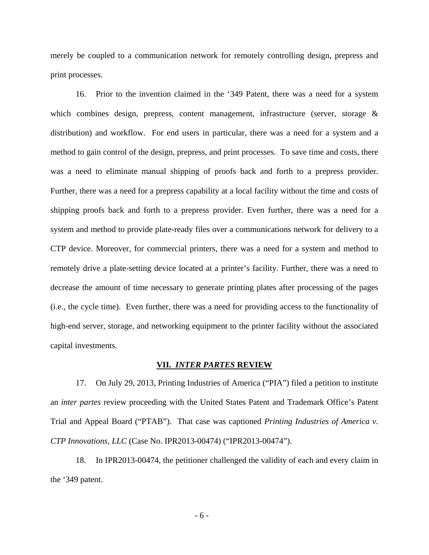merely be coupled to a communication network for remotely controlling design, prepress and print processes.

16. Prior to the invention claimed in the '349 Patent, there was a need for a system which combines design, prepress, content management, infrastructure (server, storage & distribution) and workflow. For end users in particular, there was a need for a system and a method to gain control of the design, prepress, and print processes. To save time and costs, there was a need to eliminate manual shipping of proofs back and forth to a prepress provider. Further, there was a need for a prepress capability at a local facility without the time and costs of shipping proofs back and forth to a prepress provider. Even further, there was a need for a system and method to provide plate-ready files over a communications network for delivery to a CTP device. Moreover, for commercial printers, there was a need for a system and method to remotely drive a plate-setting device located at a printer's facility. Further, there was a need to decrease the amount of time necessary to generate printing plates after processing of the pages (i.e., the cycle time). Even further, there was a need for providing access to the functionality of high-end server, storage, and networking equipment to the printer facility without the associated capital investments.

#### **VII.** *INTER PARTES* **REVIEW**

17. On July 29, 2013, Printing Industries of America ("PIA") filed a petition to institute an *inter partes* review proceeding with the United States Patent and Trademark Office's Patent Trial and Appeal Board ("PTAB"). That case was captioned *Printing Industries of America v. CTP Innovations, LLC* (Case No. IPR2013-00474) ("IPR2013-00474").

18. In IPR2013-00474, the petitioner challenged the validity of each and every claim in the '349 patent.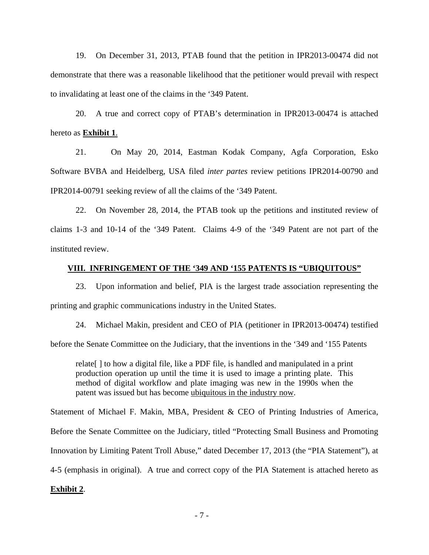19. On December 31, 2013, PTAB found that the petition in IPR2013-00474 did not demonstrate that there was a reasonable likelihood that the petitioner would prevail with respect to invalidating at least one of the claims in the '349 Patent.

20. A true and correct copy of PTAB's determination in IPR2013-00474 is attached hereto as **Exhibit 1**.

21. On May 20, 2014, Eastman Kodak Company, Agfa Corporation, Esko Software BVBA and Heidelberg, USA filed *inter partes* review petitions IPR2014-00790 and IPR2014-00791 seeking review of all the claims of the '349 Patent.

22. On November 28, 2014, the PTAB took up the petitions and instituted review of claims 1-3 and 10-14 of the '349 Patent. Claims 4-9 of the '349 Patent are not part of the instituted review.

#### **VIII. INFRINGEMENT OF THE '349 AND '155 PATENTS IS "UBIQUITOUS"**

23. Upon information and belief, PIA is the largest trade association representing the printing and graphic communications industry in the United States.

24. Michael Makin, president and CEO of PIA (petitioner in IPR2013-00474) testified before the Senate Committee on the Judiciary, that the inventions in the '349 and '155 Patents

relate[ ] to how a digital file, like a PDF file, is handled and manipulated in a print production operation up until the time it is used to image a printing plate. This method of digital workflow and plate imaging was new in the 1990s when the patent was issued but has become ubiquitous in the industry now.

Statement of Michael F. Makin, MBA, President & CEO of Printing Industries of America, Before the Senate Committee on the Judiciary, titled "Protecting Small Business and Promoting Innovation by Limiting Patent Troll Abuse," dated December 17, 2013 (the "PIA Statement"), at 4-5 (emphasis in original). A true and correct copy of the PIA Statement is attached hereto as

## **Exhibit 2**.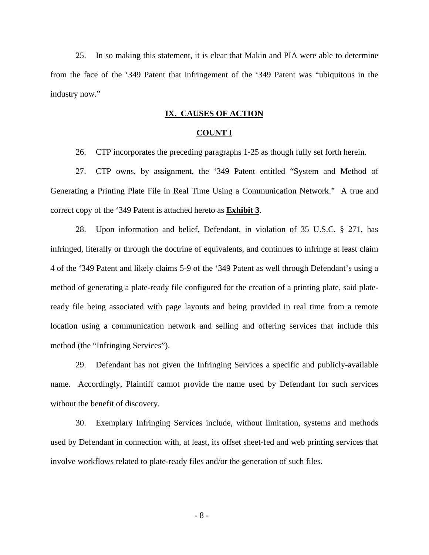25. In so making this statement, it is clear that Makin and PIA were able to determine from the face of the '349 Patent that infringement of the '349 Patent was "ubiquitous in the industry now."

## **IX. CAUSES OF ACTION**

#### **COUNT I**

26. CTP incorporates the preceding paragraphs 1-25 as though fully set forth herein.

27. CTP owns, by assignment, the '349 Patent entitled "System and Method of Generating a Printing Plate File in Real Time Using a Communication Network." A true and correct copy of the '349 Patent is attached hereto as **Exhibit 3**.

28. Upon information and belief, Defendant, in violation of 35 U.S.C. § 271, has infringed, literally or through the doctrine of equivalents, and continues to infringe at least claim 4 of the '349 Patent and likely claims 5-9 of the '349 Patent as well through Defendant's using a method of generating a plate-ready file configured for the creation of a printing plate, said plateready file being associated with page layouts and being provided in real time from a remote location using a communication network and selling and offering services that include this method (the "Infringing Services").

29. Defendant has not given the Infringing Services a specific and publicly-available name. Accordingly, Plaintiff cannot provide the name used by Defendant for such services without the benefit of discovery.

30. Exemplary Infringing Services include, without limitation, systems and methods used by Defendant in connection with, at least, its offset sheet-fed and web printing services that involve workflows related to plate-ready files and/or the generation of such files.

- 8 -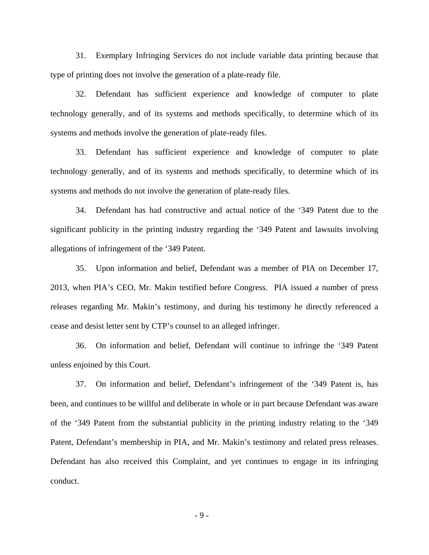31. Exemplary Infringing Services do not include variable data printing because that type of printing does not involve the generation of a plate-ready file.

32. Defendant has sufficient experience and knowledge of computer to plate technology generally, and of its systems and methods specifically, to determine which of its systems and methods involve the generation of plate-ready files.

33. Defendant has sufficient experience and knowledge of computer to plate technology generally, and of its systems and methods specifically, to determine which of its systems and methods do not involve the generation of plate-ready files.

34. Defendant has had constructive and actual notice of the '349 Patent due to the significant publicity in the printing industry regarding the '349 Patent and lawsuits involving allegations of infringement of the '349 Patent.

35. Upon information and belief, Defendant was a member of PIA on December 17, 2013, when PIA's CEO, Mr. Makin testified before Congress. PIA issued a number of press releases regarding Mr. Makin's testimony, and during his testimony he directly referenced a cease and desist letter sent by CTP's counsel to an alleged infringer.

36. On information and belief, Defendant will continue to infringe the '349 Patent unless enjoined by this Court.

37. On information and belief, Defendant's infringement of the '349 Patent is, has been, and continues to be willful and deliberate in whole or in part because Defendant was aware of the '349 Patent from the substantial publicity in the printing industry relating to the '349 Patent, Defendant's membership in PIA, and Mr. Makin's testimony and related press releases. Defendant has also received this Complaint, and yet continues to engage in its infringing conduct.

 $- 9 -$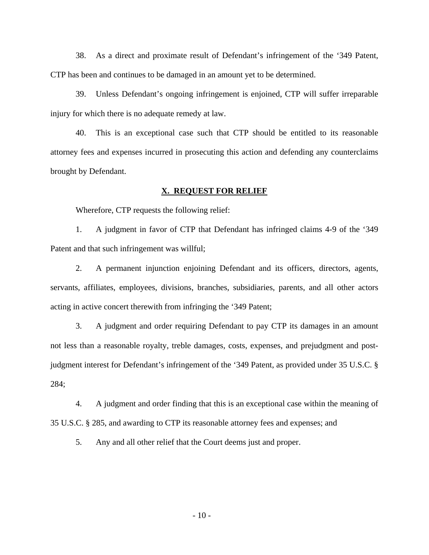38. As a direct and proximate result of Defendant's infringement of the '349 Patent, CTP has been and continues to be damaged in an amount yet to be determined.

39. Unless Defendant's ongoing infringement is enjoined, CTP will suffer irreparable injury for which there is no adequate remedy at law.

40. This is an exceptional case such that CTP should be entitled to its reasonable attorney fees and expenses incurred in prosecuting this action and defending any counterclaims brought by Defendant.

## **X. REQUEST FOR RELIEF**

Wherefore, CTP requests the following relief:

1. A judgment in favor of CTP that Defendant has infringed claims 4-9 of the '349 Patent and that such infringement was willful;

2. A permanent injunction enjoining Defendant and its officers, directors, agents, servants, affiliates, employees, divisions, branches, subsidiaries, parents, and all other actors acting in active concert therewith from infringing the '349 Patent;

3. A judgment and order requiring Defendant to pay CTP its damages in an amount not less than a reasonable royalty, treble damages, costs, expenses, and prejudgment and postjudgment interest for Defendant's infringement of the '349 Patent, as provided under 35 U.S.C. § 284;

4. A judgment and order finding that this is an exceptional case within the meaning of 35 U.S.C. § 285, and awarding to CTP its reasonable attorney fees and expenses; and

5. Any and all other relief that the Court deems just and proper.

- 10 -